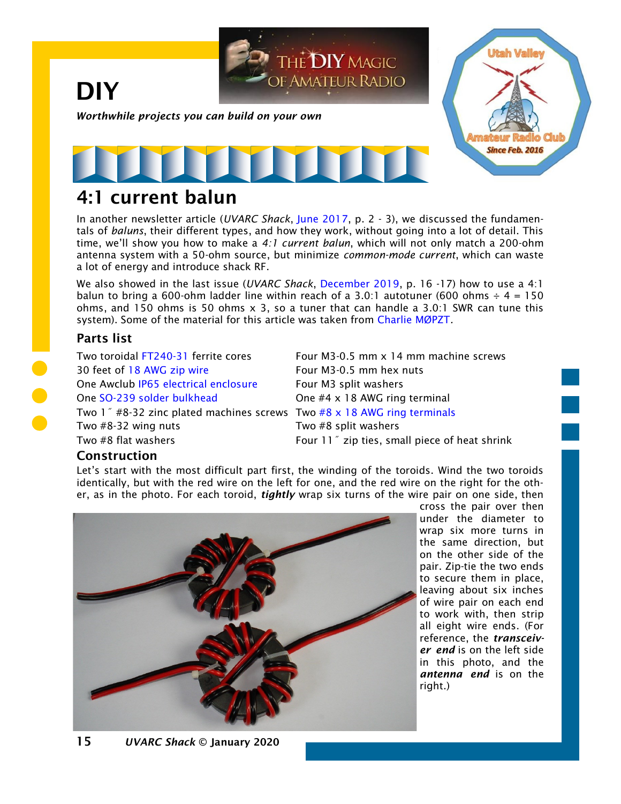

## 4:1 current balun

In another newsletter article (*UVARC Shack*, [June 2017,](https://noji.com/hamradio/uvarc/shack/UVARC-Shack-1706.pdf) p. 2 - 3), we discussed the fundamentals of *baluns*, their different types, and how they work, without going into a lot of detail. This time, we'll show you how to make a *4:1 current balun*, which will not only match a 200-ohm antenna system with a 50-ohm source, but minimize *common-mode current*, which can waste a lot of energy and introduce shack RF.

We also showed in the last issue (*UVARC Shack*, [December 2019,](https://noji.com/hamradio/uvarc/shack/UVARC-Shack-1912.pdf) p. 16 -17) how to use a 4:1 balun to bring a 600-ohm ladder line within reach of a 3.0:1 autotuner (600 ohms  $\div$  4 = 150 ohms, and 150 ohms is 50 ohms  $\times$  3, so a tuner that can handle a 3.0:1 SWR can tune this system). Some of the material for this article was taken from [Charlie MØPZT](http://www.m0pzt.com/blog/4to1-current-balun/)*.*

#### Parts list

30 feet of [18 AWG zip wire](https://smile.amazon.com/GS-American-Conductor-Power-Electrical/dp/B07428NBCW/) Four M3-0.5 mm hex nuts One Awclub [IP65 electrical enclosure](https://smile.amazon.com/Awclub-Waterproof-Dustproof-Transparent-158mmx90mmx64mm/dp/B07NSRYH4N/) Four M3 split washers One [SO-239 solder bulkhead](https://smile.amazon.com/BOOBRIE-Chassis-Coaxial-Connector-Adapter/dp/B07DC1JYZL/) One #4 x 18 AWG ring terminal Two 1˝ #8-32 zinc plated machines screws Two [#8 x 18 AWG ring terminals](https://smile.amazon.com/Hilitchi-Insulated-Electrical-Terminals-Connectors/dp/B01D82U3PS/) Two #8-32 wing nuts Two #8 split washers Two #8 flat washers Two #8 flat washers Four 11<sup>"</sup> zip ties, small piece of heat shrink

Two toroidal [FT240-31](https://smile.amazon.com/Fair-Rite-Toroid-Core-FT240-31-Ferrite/dp/B01959LAFA/) ferrite cores Four M3-0.5 mm x 14 mm machine screws

### Construction

Let's start with the most difficult part first, the winding of the toroids. Wind the two toroids identically, but with the red wire on the left for one, and the red wire on the right for the other, as in the photo. For each toroid, *tightly* wrap six turns of the wire pair on one side, then



cross the pair over then under the diameter to wrap six more turns in the same direction, but on the other side of the pair. Zip-tie the two ends to secure them in place, leaving about six inches of wire pair on each end to work with, then strip all eight wire ends. (For reference, the *transceiver end* is on the left side in this photo, and the *antenna end* is on the right.)